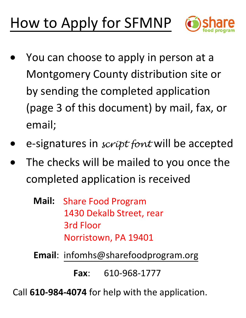# How to Apply for SFMNP



- $\bullet$  You can choose to apply in person at a Montgomery County distribution site or by sending the completed application(page 3 of this document) by mail, fax, or email;
- •e-signatures in *script font* will be accepted
- $\bullet$  The checks will be mailed to you once thecompleted application is received
	- **Mail:** Share Food Program 1430 Dekalb Street, rear3rd Floor Norristown, PA 19401
	- **Email**: infomhs@sharefoodprogram.org

**Fax**: 610-968-1777

Call **610-984-4074** for help with the application.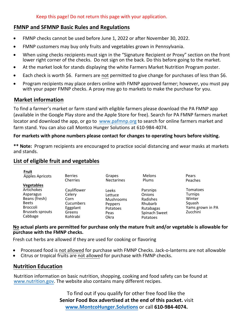#### **FMNP and SFMNP Basic Rules and Regulations**

- FMNP checks cannot be used before June 1, 2022 or after November 30, 2022.
- FMNP customers may buy only fruits and vegetables grown in Pennsylvania.
- When using checks recipients must sign in the "Signature Recipient or Proxy" section on the front lower right corner of the checks. Do not sign on the back. Do this before going to the market.
- At the market look for stands displaying the white Farmers Market Nutrition Program poster.
- Each check is worth \$6. Farmers are not permitted to give change for purchases of less than \$6.
- Program recipients may place orders online with FMNP approved farmer; however, you must pay with your paper FMNP checks. A proxy may go to markets to make the purchase for you.

#### **Market information**

To find a farmer's market or farm stand with eligible farmers please download the PA FMNP app (available in the Google Play store and the Apple Store for free). Search for PA FMNP farmers market locator and download the app, or go to [www.pafmnp.org](http://www.pafmnp.org/) to search for online farmers market and farm stand. You can also call Montco Hunger Solutions at 610-984-4074.

#### **For markets with phone numbers please contact for changes to operating hours before visiting.**

**\*\* Note:** Program recipients are encouraged to practice social distancing and wear masks at markets and stands.

### **List of eligible fruit and vegetables**

| Fruit                                                                                                                                         | <b>Berries</b>                                                                      | Grapes                                                                      | <b>Melons</b>                                                                                     | Pears                                                                          |
|-----------------------------------------------------------------------------------------------------------------------------------------------|-------------------------------------------------------------------------------------|-----------------------------------------------------------------------------|---------------------------------------------------------------------------------------------------|--------------------------------------------------------------------------------|
| Apples Apricots                                                                                                                               | Cherries                                                                            | <b>Nectarines</b>                                                           | Plums                                                                                             | Peaches                                                                        |
| <b>Vegetables</b><br><b>Artichokes</b><br>Asparagus<br>Beans (fresh)<br><b>Beets</b><br><b>Broccoli</b><br><b>Brussels sprouts</b><br>Cabbage | Cauliflower<br>Celery<br>Corn<br><b>Cucumbers</b><br>Eggplant<br>Greens<br>Kohlrabi | Leeks<br>Lettuce<br><b>Mushrooms</b><br>Peppers<br>Potatoes<br>Peas<br>Okra | Parsnips<br><b>Onions</b><br>Radishes<br>Rhubarb<br>Rutabagas<br>Spinach Sweet<br><b>Potatoes</b> | Tomatoes<br><b>Turnips</b><br>Winter<br>Squash<br>Yams grown in PA<br>Zucchini |

#### **No actual plants are permitted for purchase only the mature fruit and/or vegetable is allowable for purchase with the FMNP checks.**

Fresh cut herbs are allowed if they are used for cooking or flavoring

- Processed food is not allowed for purchase with FMNP Checks. Jack-o-lanterns are not allowable
- Citrus or tropical fruits are not allowed for purchase with FMNP checks.

#### **Nutrition Education**

[Nutrition information on ba](https://www.nutrition.gov/)sic nutrition, shopping, cooking and food safety can be found at [www.nutrition.gov. The](http://www.nutrition.gov) website also contains many different recipes.

> To find out if you qualify for other free food like the **S[enior Food Box advertised at the e](http://www.MontcoHunger.Solutions)nd of this packet.** visit **www.MontcoHunger.Solutions** or call **610-984-4074.**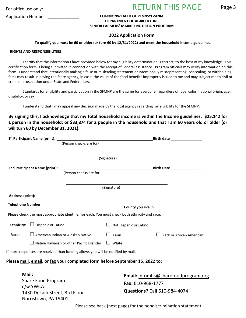For office use only:

## RETURN THIS PAGE

Page 3

#### Application Number: \_\_\_\_\_\_\_\_\_\_\_\_\_ **COMMONWEALTH OF PENNSYLVANIA DEPARTMENT OF AGRICULTURE SENIOR FARMERS' MARKET NUTRITION PROGRAM**

#### **2022 Application Form**

**To qualify you must be 60 or older (or turn 60 by 12/31/2022) and meet the household income guidelines**.

#### **RIGHTS AND RESPONSIBILITIES**

I certify that the information I have provided below for my eligibility determination is correct, to the best of my knowledge. This certification form is being submitted in connection with the receipt of Federal assistance. Program officials may verify information on this form. I understand that intentionally making a false or misleading statement or intentionally misrepresenting, concealing, or withholding facts may result in paying the State agency, in cash, the value of the food benefits improperly issued to me and may subject me to civil or criminal prosecution under State and Federal law.

Standards for eligibility and participation in the SFMNP are the same for everyone, regardless of race, color, national origin, age, disability, or sex.

I understand that I may appeal any decision made by the local agency regarding my eligibility for the SFMNP.

**By signing this, I acknowledge that my total household income is within the Income guidelines: \$25,142 for 1 person in the household; or \$33,874 for 2 people in the household and that I am 60 years old or older (or will turn 60 by December 31, 2021).** 

|                                                                                                                                                   |                           |                                           |                               | Birth date __________________    |  |  |
|---------------------------------------------------------------------------------------------------------------------------------------------------|---------------------------|-------------------------------------------|-------------------------------|----------------------------------|--|--|
|                                                                                                                                                   |                           | (Person checks are for)                   |                               |                                  |  |  |
|                                                                                                                                                   |                           |                                           |                               |                                  |  |  |
|                                                                                                                                                   |                           |                                           | (Signature)                   |                                  |  |  |
|                                                                                                                                                   |                           |                                           | Birth_Date __________________ |                                  |  |  |
|                                                                                                                                                   |                           | (Person checks are for)                   |                               |                                  |  |  |
|                                                                                                                                                   |                           |                                           |                               |                                  |  |  |
|                                                                                                                                                   |                           |                                           | (Signature)                   |                                  |  |  |
| <b>Address (print):</b>                                                                                                                           |                           |                                           |                               |                                  |  |  |
| <b>Telephone Number:</b><br>County you live in <b>Example 2018</b> 2019 12:00:00 12:00:00 12:00:00 12:00:00 12:00:00 12:00:00 12:00:00 12:00:00 1 |                           |                                           |                               |                                  |  |  |
| Please check the most appropriate identifier for each. You must check both ethnicity and race.                                                    |                           |                                           |                               |                                  |  |  |
| <b>Ethnicity:</b>                                                                                                                                 | $\Box$ Hispanic or Latino |                                           | Not Hispanic or Latino        |                                  |  |  |
| Race:                                                                                                                                             |                           | American Indian or Alaskan Native         | Asian                         | <b>Black or African American</b> |  |  |
|                                                                                                                                                   |                           | Native Hawaiian or other Pacific Islander | White                         |                                  |  |  |

If more responses are received than funding allows you will be notified by mail.

#### **Please mail, email, or fax your completed form before September 15, 2022 to:**

**Mail:**  Share Food Program c/w YWCA 1430 Dekalb Street, 3rd Floor Norristown, PA 19401 **Email:** infomhs@sharefoodprogram.org **Fax:** 610-968-1777 **Questions?** Call 610-984-4074

Please see back (next page) for the nondiscrimination statement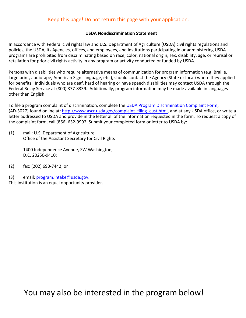#### Keep this page! Do not return this page with your application.

#### **USDA Nondiscrimination Statement**

In accordance with Federal civil rights law and U.S. Department of Agriculture (USDA) civil rights regulations and policies, the USDA, its Agencies, offices, and employees, and institutions participating in or administering USDA programs are prohibited from discriminating based on race, color, national origin, sex, disability, age, or reprisal or retaliation for prior civil rights activity in any program or activity conducted or funded by USDA.

Persons with disabilities who require alternative means of communication for program information (e.g. Braille, large print, audiotape, American Sign Language, etc.), should contact the Agency (State or local) where they applied for benefits. Individuals who are deaf, hard of hearing or have speech disabilities may contact USDA through the Federal Relay Service at (800) 877-8339. Additionally, program information may be made available in languages other than English.

To file a program complaint of discrimination, complete the USDA Program Discrimination Complaint Form, (AD-3027) found online at: http://www.ascr.usda.gov/complaint\_filing\_cust.html, and at any USDA office, or write a letter addressed to USDA and provide in the letter all of the information requested in the form. To request a copy of the complaint form, call (866) 632-9992. Submit your completed form or letter to USDA by:

(1) mail: U.S. Department of Agriculture Office of the Assistant Secretary for Civil Rights

> 1400 Independence Avenue, SW Washington, D.C. 20250-9410;

- (2) fax: (202) 690-7442; or
- (3) email: program.intake@usda.gov. This institution is an equal opportunity provider.

You may also be interested in the program below!